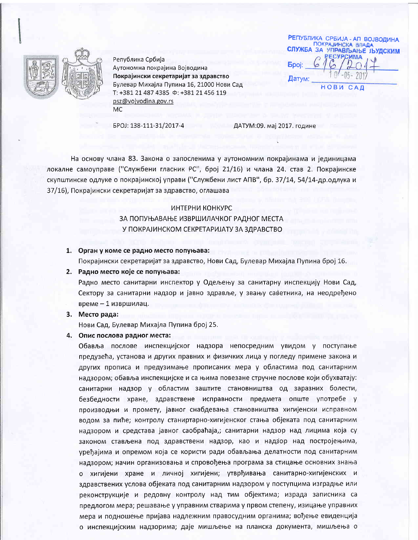

Република Србија Аутономна покрајина Војводина Покрајински секретаријат за здравство Булевар Михајла Пупина 16, 21000 Нови Сад T: +381 21 487 4385  $\Phi$ : +381 21 456 119 psz@vojvodina.gov.rs **MC** 

**РЕПУБЛИКА СРБИЈА - АП ВОЈВОДИНА** ПОКРАЈИНСКА ВЛАДА СЛУЖБА ЗА УПРАВЉАЊЕ ЉУДСКИМ **ЕСУРСИМА Epoj:** Датум: **НОВИ САД** 

EPOJ: 138-111-31/2017-4

ДАТУМ:09. мај 2017. године

На основу члана 83. Закона о запосленима у аутономним покрајинама и јединицама локалне самоуправе ("Службени гласник РС", број 21/16) и члана 24. став 2. Покрајинске скупштинске одлуке о покрајинској управи ("Службени лист АПВ", бр. 37/14, 54/14-др.одлука и 37/16), Покрајински секретаријат за здравство, оглашава

## ИНТЕРНИ КОНКУРС

# ЗА ПОПУЊАВАЊЕ ИЗВРШИЛАЧКОГ РАДНОГ МЕСТА У ПОКРАЈИНСКОМ СЕКРЕТАРИЈАТУ ЗА ЗДРАВСТВО

## 1. Орган у коме се радно место попуњава:

Покрајински секретаријат за здравство, Нови Сад, Булевар Михајла Пупина број 16.

#### 2. Радно место које се попуњава:

Радно место санитарни инспектор у Одељењу за санитарну инспекцију Нови Сад, Сектору за санитарни надзор и јавно здравље, у звању саветника, на неодређено време - 1 извршилац.

### 3. Место рада:

Нови Сад, Булевар Михајла Пупина број 25.

#### 4. Опис послова радног места:

Обавља послове инспекцијског надзора непосредним увидом у поступање предузећа, установа и других правних и физичких лица у погледу примене закона и других прописа и предузимање прописаних мера у областима под санитарним надзором; обавља инспекцијске и са њима повезане стручне послове који обухватају: санитарни надзор у областим заштите становништва од заразних болести, безбедности хране, здравствене исправности предмета опште употребе у производњи и промету, јавног снабдевања становништва хигијенски исправном водом за пиће; контролу станиртарно-хигијенског стања објеката под санитарним надзором и средстава јавног саобраћаја,; санитарни надзор над лицима која су законом стављена под здравствени надзор, као и надзор над постројењима, уређајима и опремом која се користи ради обављања делатности под санитарним надзором; начин организовања и спровођења програма за стицање основних знања о хигијени хране и личној хигијени; утврђивања санитарно-хигијенских и здравствених услова објеката под санитарним надзором у поступцима изградње или реконструкције и редовну контролу над тим објектима; израда записника са предлогом мера; решавање у управним стварима у првом степену, изицање управних мера и подношење пријава надлежним правосудним органима; вођење евиденција о инспекцијским надзорима; даје мишљење на планска документа, мишљења о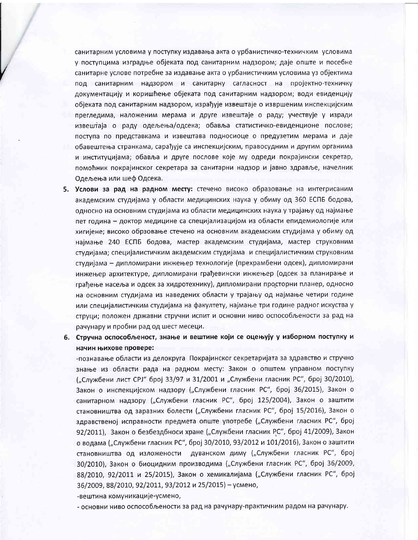санитарним условима у поступку издавања акта о урбанистичко-техничким условима у поступцима изградње објеката под санитарним надзором; даје опште и посебне санитарне услове потребне за издавање акта о урбанистичким условима уз објектима под санитарним надзором и санитарну сагласност на пројектно-техничку документацију и коришћење објеката под санитарним надзором; води евиденцију објеката под санитарним надзором, израђује извештаје о извршеним инспекцијским прегледима, наложеним мерама и друге извештаје о раду; учествује у изради извештаја о раду одељења/одсека; обавља статистичко-евиденционе послове; поступа по представкама и извештава подносиоце о предузетим мерама и даје обавештења странкама, сарађује са инспекцијским, правосудним и другим органима и институцијама; обавља и друге послове које му одреди покрајински секретар, помоћник покрајинског секретара за санитарни надзор и јавно здравље, начелник Одељења или шеф Одсека.

- 5. Услови за рад на радном месту: стечено високо образовање на интегрисаним академским студијама у области медицинских наука у обиму од 360 ЕСПБ бодова, односно на основним студијама из области медицинских наука у трајању од најмање пет година - доктор медицине са специјализацијом из области епидемиологије или хигијене; високо обрзовање стечено на основним академским студијама у обиму од најмање 240 ЕСПБ бодова, мастер академским студијама, мастер струковним студијама; специјалистичким академским студијама и специјалистичким струковним студијама – дипломирани инжењер технологије (прехрамбени одсек), дипломирани инжењер архитектуре, дипломирани грађевински инжењер (одсек за планирање и грађење насеља и одсек за хидротехнику), дипломирани просторни планер, односно на основним студијама из наведених области у трајању од најмање четири године или специјалистичким студијама на факултету, најмање три године радног искуства у струци; положен државни стручни испит и основни ниво оспособљености за рад на рачунару и пробни рад од шест месеци.
- 6. Стручна оспособљеност, знање и вештине који се оцењују у изборном поступку и начин њихове провере:

-познавање области из делокруга Покрајинског секретаријата за здравство и стручно знање из области рада на радном месту: Закон о општем управном поступку ("Службени лист СРЈ" број 33/97 и 31/2001 и "Службени гласник РС", број 30/2010), Закон о инспекцијском надзору ("Службени гласник РС", број 36/2015), Закон о санитарном надзору ("Службени гласник РС", број 125/2004), Закон о заштити становништва од заразних болести ("Службени гласник РС", број 15/2016), Закон о здравственој исправности предмета опште употребе ("Службени гласник РС", број 92/2011), Закон о безбездбноси хране ("Службени гласник РС", број 41/2009), Закон о водама ("Службени гласник РС", број 30/2010, 93/2012 и 101/2016), Закон о заштити становништва од изложености дуванском диму ("Службени гласник РС", број 30/2010), Закон о биоцидним производима ("Службени гласник РС", број 36/2009, 88/2010, 92/2011 и 25/2015), Закон о хемикалијама ("Службени гласник РС", број 36/2009, 88/2010, 92/2011, 93/2012 и 25/2015) – усмено,

-вештина комуникације-усмено,

- основни ниво оспособљености за рад на рачунару-практичним радом на рачунару.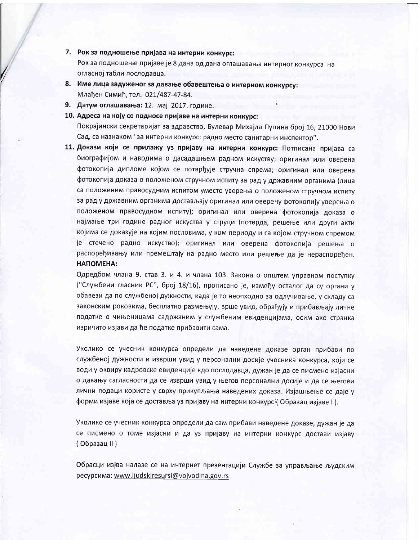7. Рок за подношење пријава на интерни конкурс:

Рок за подношење пријаве је 8 дана од дана оглашавања интерног конкурса на огласној табли послодавца.

- 8. Име лица задуженог за давање обавештења о интерном конкурсу: Млађен Симић, тел. 021/487-47-84.
- 9. Датум оглашавања: 12. мај 2017. године.
- 10. Адреса на коју се подносе пријаве на интерни конкурс: Покрајински секретаријат за здравство, Булевар Михајла Пупина број 16, 21000 Нови Сад, са назнаком "за интерни конкурс: радно место санитарни инспектор".
- 11. Докази који се прилажу уз пријаву на интерни конкурс: Потписана пријава са биографијом и наводима о дасадашњем радном искуству; оригинал или оверена фотокопија дипломе којом се потврђује стручна спрема; оригинал или оверена фотокопија доказа о положеном стручном испиту за рад у државним органима (лица са положеним правосудним испитом уместо уверења о положеном стручном испиту за рад у државним органима достављају оригинал или оверену фотокопију уверења о положеном правосудном испиту); оригинал или оверена фотокопија доказа о најмање три године радног искуства у струци (потврда, решење или други акти којима се доказује на којим пословима, у ком периоду и са којом стручном спремом је стечено радно искуство); оригинал или оверена фотокопија решења о распоређивању или премештају на радно место или решење да је нераспоређен. НАПОМЕНА:

Одредбом члана 9. став 3. и 4. и члана 103. Закона о општем управном поступку ("Службени гласник РС", број 18/16), прописано је, између осталог да су органи у обавези да по службеној дужности, када је то неопходно за одлучивање, у складу са законским роковима, бесплатно размењују, врше увид, обрађују и прибављају личне податке о чињеницама садржаним у службеним евиденцијама, осим ако странка изричито изјави да ће податке прибавити сама.

Уколико се учесник конкурса определи да наведене доказе орган прибави по службеној дужности и изврши увид у персонални досије учесника конкурса, који се води у оквиру кадровске евиденције кдо послодавца, дужан је да се писмено изјасни о давању сагласности да се изврши увид у његов персонални досије и да се његови лични подаци користе у сврху прикупљања наведених доказа. Изјашњење се даје у форми изјаве која се доставља уз пријаву на интерни конкурс (Образац изјаве I).

Уколико се учесник конкурса определи да сам прибави наведене доказе, дужан је да се писмено о томе изјасни и да уз пријаву на интерни конкурс достави изјаву (Образац II)

Обрасци изјва налазе се на интернет презентацији Службе за управљање људским pecypcима: www.ljudskiresursi@vojvodina.gov.rs